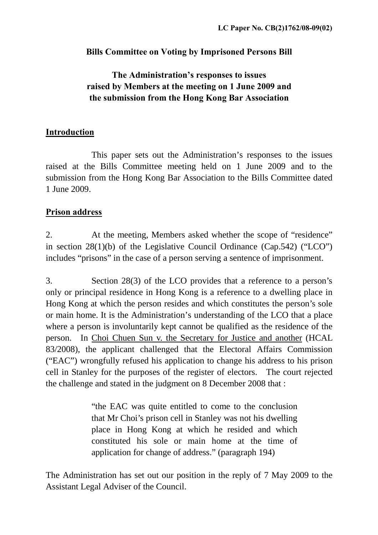#### **Bills Committee on Voting by Imprisoned Persons Bill**

## **The Administration's responses to issues raised by Members at the meeting on 1 June 2009 and the submission from the Hong Kong Bar Association**

#### **Introduction**

 This paper sets out the Administration's responses to the issues raised at the Bills Committee meeting held on 1 June 2009 and to the submission from the Hong Kong Bar Association to the Bills Committee dated 1 June 2009.

#### **Prison address**

2. At the meeting, Members asked whether the scope of "residence" in section 28(1)(b) of the Legislative Council Ordinance (Cap.542) ("LCO") includes "prisons" in the case of a person serving a sentence of imprisonment.

3. Section 28(3) of the LCO provides that a reference to a person's only or principal residence in Hong Kong is a reference to a dwelling place in Hong Kong at which the person resides and which constitutes the person's sole or main home. It is the Administration's understanding of the LCO that a place where a person is involuntarily kept cannot be qualified as the residence of the person. In Choi Chuen Sun v. the Secretary for Justice and another (HCAL 83/2008), the applicant challenged that the Electoral Affairs Commission ("EAC") wrongfully refused his application to change his address to his prison cell in Stanley for the purposes of the register of electors. The court rejected the challenge and stated in the judgment on 8 December 2008 that :

> "the EAC was quite entitled to come to the conclusion that Mr Choi's prison cell in Stanley was not his dwelling place in Hong Kong at which he resided and which constituted his sole or main home at the time of application for change of address." (paragraph 194)

The Administration has set out our position in the reply of 7 May 2009 to the Assistant Legal Adviser of the Council.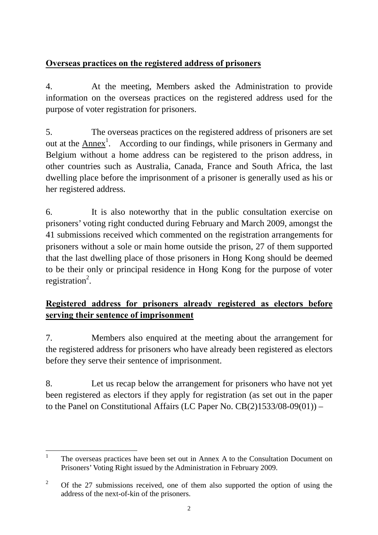## **Overseas practices on the registered address of prisoners**

4. At the meeting, Members asked the Administration to provide information on the overseas practices on the registered address used for the purpose of voter registration for prisoners.

5. The overseas practices on the registered address of prisoners are set out at the  $\overline{\text{Annex}}^1$ . According to our findings, while prisoners in Germany and Belgium without a home address can be registered to the prison address, in other countries such as Australia, Canada, France and South Africa, the last dwelling place before the imprisonment of a prisoner is generally used as his or her registered address.

6. It is also noteworthy that in the public consultation exercise on prisoners' voting right conducted during February and March 2009, amongst the 41 submissions received which commented on the registration arrangements for prisoners without a sole or main home outside the prison, 27 of them supported that the last dwelling place of those prisoners in Hong Kong should be deemed to be their only or principal residence in Hong Kong for the purpose of voter registration<sup>2</sup>.

# **Registered address for prisoners already registered as electors before serving their sentence of imprisonment**

7. Members also enquired at the meeting about the arrangement for the registered address for prisoners who have already been registered as electors before they serve their sentence of imprisonment.

8. Let us recap below the arrangement for prisoners who have not yet been registered as electors if they apply for registration (as set out in the paper to the Panel on Constitutional Affairs (LC Paper No.  $CB(2)1533/08-09(01))$  –

 $\frac{1}{1}$  The overseas practices have been set out in Annex A to the Consultation Document on Prisoners' Voting Right issued by the Administration in February 2009.

<sup>2</sup> Of the 27 submissions received, one of them also supported the option of using the address of the next-of-kin of the prisoners.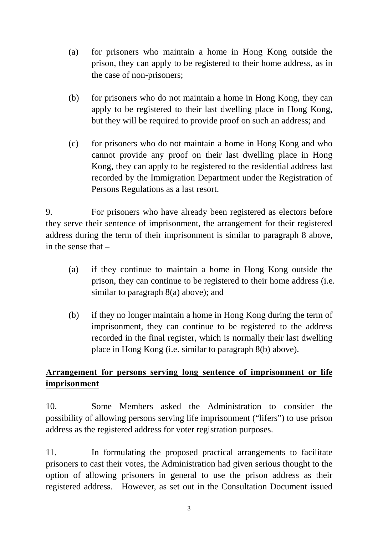- (a) for prisoners who maintain a home in Hong Kong outside the prison, they can apply to be registered to their home address, as in the case of non-prisoners;
- (b) for prisoners who do not maintain a home in Hong Kong, they can apply to be registered to their last dwelling place in Hong Kong, but they will be required to provide proof on such an address; and
- (c) for prisoners who do not maintain a home in Hong Kong and who cannot provide any proof on their last dwelling place in Hong Kong, they can apply to be registered to the residential address last recorded by the Immigration Department under the Registration of Persons Regulations as a last resort.

9. For prisoners who have already been registered as electors before they serve their sentence of imprisonment, the arrangement for their registered address during the term of their imprisonment is similar to paragraph 8 above, in the sense that –

- (a) if they continue to maintain a home in Hong Kong outside the prison, they can continue to be registered to their home address (i.e. similar to paragraph  $8(a)$  above); and
- (b) if they no longer maintain a home in Hong Kong during the term of imprisonment, they can continue to be registered to the address recorded in the final register, which is normally their last dwelling place in Hong Kong (i.e. similar to paragraph 8(b) above).

## **Arrangement for persons serving long sentence of imprisonment or life imprisonment**

10. Some Members asked the Administration to consider the possibility of allowing persons serving life imprisonment ("lifers") to use prison address as the registered address for voter registration purposes.

11. In formulating the proposed practical arrangements to facilitate prisoners to cast their votes, the Administration had given serious thought to the option of allowing prisoners in general to use the prison address as their registered address. However, as set out in the Consultation Document issued

3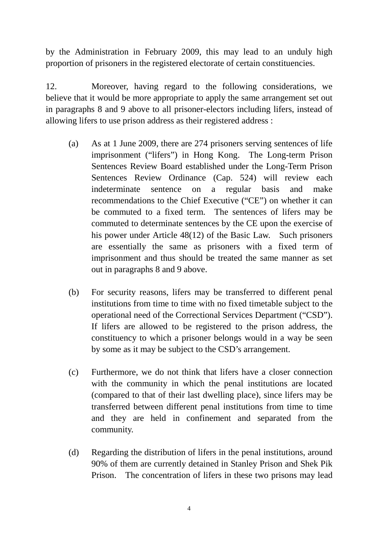by the Administration in February 2009, this may lead to an unduly high proportion of prisoners in the registered electorate of certain constituencies.

12. Moreover, having regard to the following considerations, we believe that it would be more appropriate to apply the same arrangement set out in paragraphs 8 and 9 above to all prisoner-electors including lifers, instead of allowing lifers to use prison address as their registered address :

- (a) As at 1 June 2009, there are 274 prisoners serving sentences of life imprisonment ("lifers") in Hong Kong. The Long-term Prison Sentences Review Board established under the Long-Term Prison Sentences Review Ordinance (Cap. 524) will review each indeterminate sentence on a regular basis and make recommendations to the Chief Executive ("CE") on whether it can be commuted to a fixed term. The sentences of lifers may be commuted to determinate sentences by the CE upon the exercise of his power under Article 48(12) of the Basic Law. Such prisoners are essentially the same as prisoners with a fixed term of imprisonment and thus should be treated the same manner as set out in paragraphs 8 and 9 above.
- (b) For security reasons, lifers may be transferred to different penal institutions from time to time with no fixed timetable subject to the operational need of the Correctional Services Department ("CSD"). If lifers are allowed to be registered to the prison address, the constituency to which a prisoner belongs would in a way be seen by some as it may be subject to the CSD's arrangement.
- (c) Furthermore, we do not think that lifers have a closer connection with the community in which the penal institutions are located (compared to that of their last dwelling place), since lifers may be transferred between different penal institutions from time to time and they are held in confinement and separated from the community.
- (d) Regarding the distribution of lifers in the penal institutions, around 90% of them are currently detained in Stanley Prison and Shek Pik Prison. The concentration of lifers in these two prisons may lead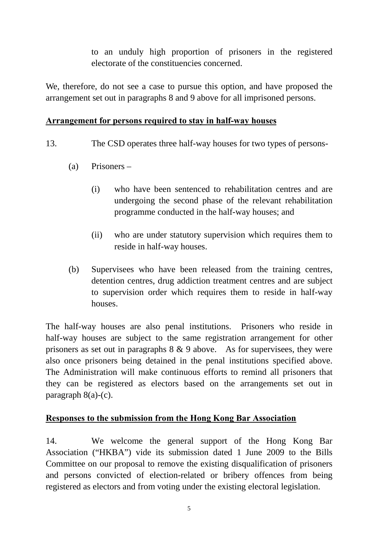to an unduly high proportion of prisoners in the registered electorate of the constituencies concerned.

We, therefore, do not see a case to pursue this option, and have proposed the arrangement set out in paragraphs 8 and 9 above for all imprisoned persons.

#### **Arrangement for persons required to stay in half-way houses**

- 13. The CSD operates three half-way houses for two types of persons-
	- (a) Prisoners
		- (i) who have been sentenced to rehabilitation centres and are undergoing the second phase of the relevant rehabilitation programme conducted in the half-way houses; and
		- (ii) who are under statutory supervision which requires them to reside in half-way houses.
	- (b) Supervisees who have been released from the training centres, detention centres, drug addiction treatment centres and are subject to supervision order which requires them to reside in half-way houses.

The half-way houses are also penal institutions. Prisoners who reside in half-way houses are subject to the same registration arrangement for other prisoners as set out in paragraphs 8 & 9 above. As for supervisees, they were also once prisoners being detained in the penal institutions specified above. The Administration will make continuous efforts to remind all prisoners that they can be registered as electors based on the arrangements set out in paragraph  $8(a)-(c)$ .

#### **Responses to the submission from the Hong Kong Bar Association**

14. We welcome the general support of the Hong Kong Bar Association ("HKBA") vide its submission dated 1 June 2009 to the Bills Committee on our proposal to remove the existing disqualification of prisoners and persons convicted of election-related or bribery offences from being registered as electors and from voting under the existing electoral legislation.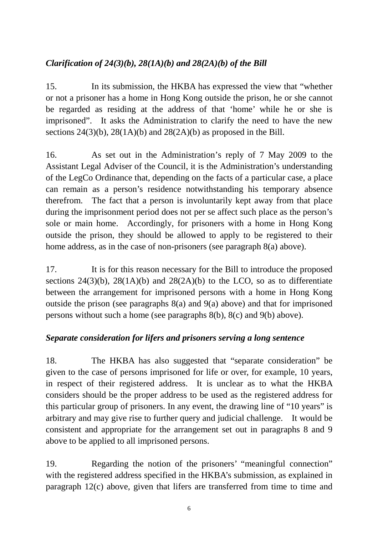## *Clarification of 24(3)(b), 28(1A)(b) and 28(2A)(b) of the Bill*

15. In its submission, the HKBA has expressed the view that "whether or not a prisoner has a home in Hong Kong outside the prison, he or she cannot be regarded as residing at the address of that 'home' while he or she is imprisoned". It asks the Administration to clarify the need to have the new sections  $24(3)(b)$ ,  $28(1A)(b)$  and  $28(2A)(b)$  as proposed in the Bill.

16. As set out in the Administration's reply of 7 May 2009 to the Assistant Legal Adviser of the Council, it is the Administration's understanding of the LegCo Ordinance that, depending on the facts of a particular case, a place can remain as a person's residence notwithstanding his temporary absence therefrom. The fact that a person is involuntarily kept away from that place during the imprisonment period does not per se affect such place as the person's sole or main home. Accordingly, for prisoners with a home in Hong Kong outside the prison, they should be allowed to apply to be registered to their home address, as in the case of non-prisoners (see paragraph 8(a) above).

17. It is for this reason necessary for the Bill to introduce the proposed sections 24(3)(b), 28(1A)(b) and 28(2A)(b) to the LCO, so as to differentiate between the arrangement for imprisoned persons with a home in Hong Kong outside the prison (see paragraphs 8(a) and 9(a) above) and that for imprisoned persons without such a home (see paragraphs 8(b), 8(c) and 9(b) above).

## *Separate consideration for lifers and prisoners serving a long sentence*

18. The HKBA has also suggested that "separate consideration" be given to the case of persons imprisoned for life or over, for example, 10 years, in respect of their registered address. It is unclear as to what the HKBA considers should be the proper address to be used as the registered address for this particular group of prisoners. In any event, the drawing line of "10 years" is arbitrary and may give rise to further query and judicial challenge. It would be consistent and appropriate for the arrangement set out in paragraphs 8 and 9 above to be applied to all imprisoned persons.

19. Regarding the notion of the prisoners' "meaningful connection" with the registered address specified in the HKBA's submission, as explained in paragraph 12(c) above, given that lifers are transferred from time to time and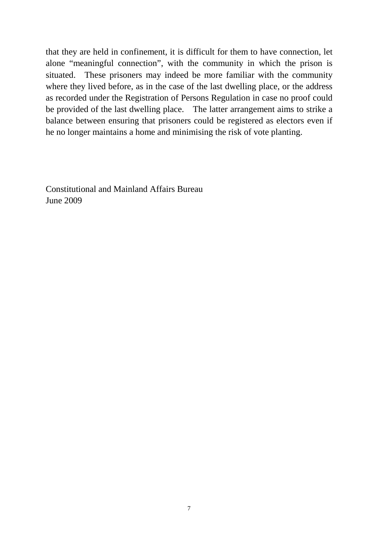that they are held in confinement, it is difficult for them to have connection, let alone "meaningful connection", with the community in which the prison is situated. These prisoners may indeed be more familiar with the community where they lived before, as in the case of the last dwelling place, or the address as recorded under the Registration of Persons Regulation in case no proof could be provided of the last dwelling place. The latter arrangement aims to strike a balance between ensuring that prisoners could be registered as electors even if he no longer maintains a home and minimising the risk of vote planting.

Constitutional and Mainland Affairs Bureau June 2009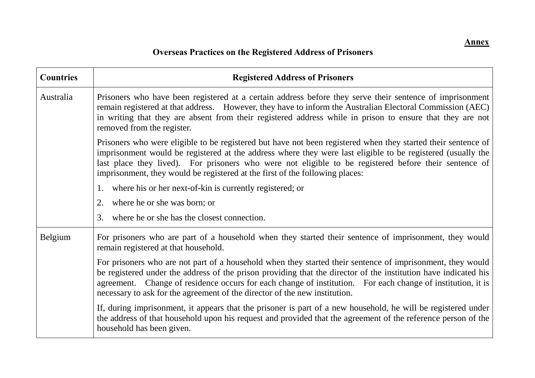| <b>Countries</b> | <b>Registered Address of Prisoners</b>                                                                                                                                                                                                                                                                                                                                                                                     |
|------------------|----------------------------------------------------------------------------------------------------------------------------------------------------------------------------------------------------------------------------------------------------------------------------------------------------------------------------------------------------------------------------------------------------------------------------|
| Australia        | Prisoners who have been registered at a certain address before they serve their sentence of imprisonment<br>remain registered at that address. However, they have to inform the Australian Electoral Commission (AEC)<br>in writing that they are absent from their registered address while in prison to ensure that they are not<br>removed from the register.                                                           |
|                  | Prisoners who were eligible to be registered but have not been registered when they started their sentence of<br>imprisonment would be registered at the address where they were last eligible to be registered (usually the<br>last place they lived). For prisoners who were not eligible to be registered before their sentence of<br>imprisonment, they would be registered at the first of the following places:      |
|                  | 1. where his or her next-of-kin is currently registered; or                                                                                                                                                                                                                                                                                                                                                                |
|                  | where he or she was born; or<br>2.                                                                                                                                                                                                                                                                                                                                                                                         |
|                  | where he or she has the closest connection.<br>3.                                                                                                                                                                                                                                                                                                                                                                          |
| Belgium          | For prisoners who are part of a household when they started their sentence of imprisonment, they would<br>remain registered at that household.                                                                                                                                                                                                                                                                             |
|                  | For prisoners who are not part of a household when they started their sentence of imprisonment, they would<br>be registered under the address of the prison providing that the director of the institution have indicated his<br>agreement. Change of residence occurs for each change of institution. For each change of institution, it is<br>necessary to ask for the agreement of the director of the new institution. |
|                  | If, during imprisonment, it appears that the prisoner is part of a new household, he will be registered under<br>the address of that household upon his request and provided that the agreement of the reference person of the<br>household has been given.                                                                                                                                                                |